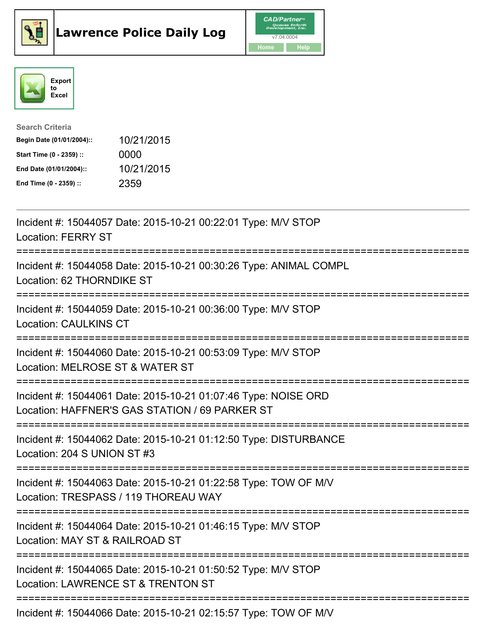





| <b>Search Criteria</b>    |            |
|---------------------------|------------|
| Begin Date (01/01/2004):: | 10/21/2015 |
| Start Time (0 - 2359) ::  | 0000       |
| End Date (01/01/2004)::   | 10/21/2015 |
| End Time (0 - 2359) ::    | 2359       |

| Incident #: 15044057 Date: 2015-10-21 00:22:01 Type: M/V STOP<br><b>Location: FERRY ST</b>                                                        |
|---------------------------------------------------------------------------------------------------------------------------------------------------|
| Incident #: 15044058 Date: 2015-10-21 00:30:26 Type: ANIMAL COMPL<br>Location: 62 THORNDIKE ST                                                    |
| Incident #: 15044059 Date: 2015-10-21 00:36:00 Type: M/V STOP<br><b>Location: CAULKINS CT</b>                                                     |
| Incident #: 15044060 Date: 2015-10-21 00:53:09 Type: M/V STOP<br>Location: MELROSE ST & WATER ST                                                  |
| Incident #: 15044061 Date: 2015-10-21 01:07:46 Type: NOISE ORD<br>Location: HAFFNER'S GAS STATION / 69 PARKER ST<br>----------------------------- |
| Incident #: 15044062 Date: 2015-10-21 01:12:50 Type: DISTURBANCE<br>Location: 204 S UNION ST #3<br>---------------                                |
| Incident #: 15044063 Date: 2015-10-21 01:22:58 Type: TOW OF M/V<br>Location: TRESPASS / 119 THOREAU WAY                                           |
| Incident #: 15044064 Date: 2015-10-21 01:46:15 Type: M/V STOP<br>Location: MAY ST & RAILROAD ST                                                   |
| Incident #: 15044065 Date: 2015-10-21 01:50:52 Type: M/V STOP<br>Location: LAWRENCE ST & TRENTON ST                                               |
| Incident #: 15044066 Date: 2015-10-21 02:15:57 Type: TOW OF M/V                                                                                   |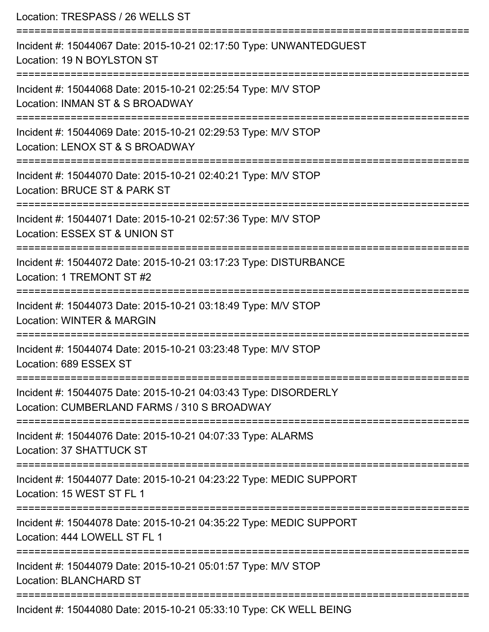| Location: TRESPASS / 26 WELLS ST                                                                                              |
|-------------------------------------------------------------------------------------------------------------------------------|
| Incident #: 15044067 Date: 2015-10-21 02:17:50 Type: UNWANTEDGUEST<br>Location: 19 N BOYLSTON ST                              |
| Incident #: 15044068 Date: 2015-10-21 02:25:54 Type: M/V STOP<br>Location: INMAN ST & S BROADWAY                              |
| Incident #: 15044069 Date: 2015-10-21 02:29:53 Type: M/V STOP<br>Location: LENOX ST & S BROADWAY                              |
| ----------------------------<br>Incident #: 15044070 Date: 2015-10-21 02:40:21 Type: M/V STOP<br>Location: BRUCE ST & PARK ST |
| Incident #: 15044071 Date: 2015-10-21 02:57:36 Type: M/V STOP<br>Location: ESSEX ST & UNION ST                                |
| Incident #: 15044072 Date: 2015-10-21 03:17:23 Type: DISTURBANCE<br>Location: 1 TREMONT ST #2                                 |
| Incident #: 15044073 Date: 2015-10-21 03:18:49 Type: M/V STOP<br>Location: WINTER & MARGIN                                    |
| Incident #: 15044074 Date: 2015-10-21 03:23:48 Type: M/V STOP<br>Location: 689 ESSEX ST                                       |
| Incident #: 15044075 Date: 2015-10-21 04:03:43 Type: DISORDERLY<br>Location: CUMBERLAND FARMS / 310 S BROADWAY                |
| Incident #: 15044076 Date: 2015-10-21 04:07:33 Type: ALARMS<br>Location: 37 SHATTUCK ST                                       |
| Incident #: 15044077 Date: 2015-10-21 04:23:22 Type: MEDIC SUPPORT<br>Location: 15 WEST ST FL 1                               |
| Incident #: 15044078 Date: 2015-10-21 04:35:22 Type: MEDIC SUPPORT<br>Location: 444 LOWELL ST FL 1                            |
| Incident #: 15044079 Date: 2015-10-21 05:01:57 Type: M/V STOP<br><b>Location: BLANCHARD ST</b>                                |
| Incident #: 15044080 Date: 2015-10-21 05:33:10 Type: CK WELL BEING                                                            |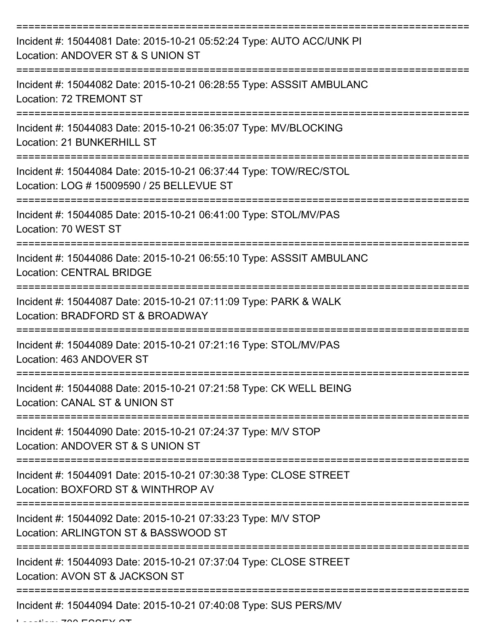| Incident #: 15044081 Date: 2015-10-21 05:52:24 Type: AUTO ACC/UNK PI<br>Location: ANDOVER ST & S UNION ST      |
|----------------------------------------------------------------------------------------------------------------|
| Incident #: 15044082 Date: 2015-10-21 06:28:55 Type: ASSSIT AMBULANC<br>Location: 72 TREMONT ST                |
| Incident #: 15044083 Date: 2015-10-21 06:35:07 Type: MV/BLOCKING<br>Location: 21 BUNKERHILL ST                 |
| Incident #: 15044084 Date: 2015-10-21 06:37:44 Type: TOW/REC/STOL<br>Location: LOG # 15009590 / 25 BELLEVUE ST |
| Incident #: 15044085 Date: 2015-10-21 06:41:00 Type: STOL/MV/PAS<br>Location: 70 WEST ST                       |
| Incident #: 15044086 Date: 2015-10-21 06:55:10 Type: ASSSIT AMBULANC<br><b>Location: CENTRAL BRIDGE</b>        |
| Incident #: 15044087 Date: 2015-10-21 07:11:09 Type: PARK & WALK<br>Location: BRADFORD ST & BROADWAY           |
| Incident #: 15044089 Date: 2015-10-21 07:21:16 Type: STOL/MV/PAS<br>Location: 463 ANDOVER ST                   |
| Incident #: 15044088 Date: 2015-10-21 07:21:58 Type: CK WELL BEING<br>Location: CANAL ST & UNION ST            |
| Incident #: 15044090 Date: 2015-10-21 07:24:37 Type: M/V STOP<br>Location: ANDOVER ST & S UNION ST             |
| Incident #: 15044091 Date: 2015-10-21 07:30:38 Type: CLOSE STREET<br>Location: BOXFORD ST & WINTHROP AV        |
| Incident #: 15044092 Date: 2015-10-21 07:33:23 Type: M/V STOP<br>Location: ARLINGTON ST & BASSWOOD ST          |
| Incident #: 15044093 Date: 2015-10-21 07:37:04 Type: CLOSE STREET<br>Location: AVON ST & JACKSON ST            |
| Incident #: 15044094 Date: 2015-10-21 07:40:08 Type: SUS PERS/MV                                               |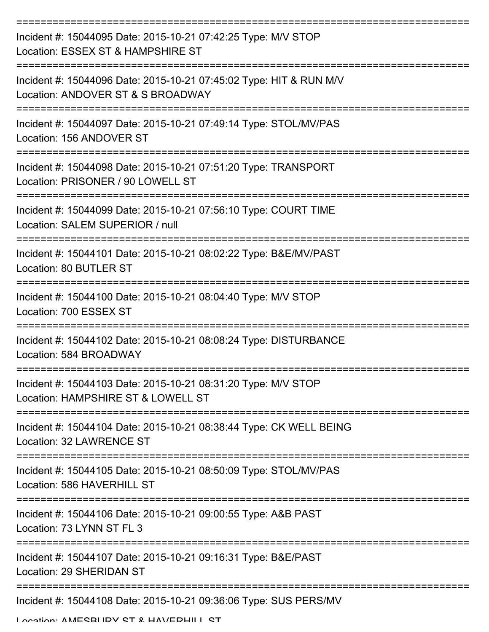| Incident #: 15044095 Date: 2015-10-21 07:42:25 Type: M/V STOP<br>Location: ESSEX ST & HAMPSHIRE ST      |
|---------------------------------------------------------------------------------------------------------|
| Incident #: 15044096 Date: 2015-10-21 07:45:02 Type: HIT & RUN M/V<br>Location: ANDOVER ST & S BROADWAY |
| Incident #: 15044097 Date: 2015-10-21 07:49:14 Type: STOL/MV/PAS<br>Location: 156 ANDOVER ST            |
| Incident #: 15044098 Date: 2015-10-21 07:51:20 Type: TRANSPORT<br>Location: PRISONER / 90 LOWELL ST     |
| Incident #: 15044099 Date: 2015-10-21 07:56:10 Type: COURT TIME<br>Location: SALEM SUPERIOR / null      |
| Incident #: 15044101 Date: 2015-10-21 08:02:22 Type: B&E/MV/PAST<br>Location: 80 BUTLER ST              |
| Incident #: 15044100 Date: 2015-10-21 08:04:40 Type: M/V STOP<br>Location: 700 ESSEX ST                 |
| Incident #: 15044102 Date: 2015-10-21 08:08:24 Type: DISTURBANCE<br>Location: 584 BROADWAY              |
| Incident #: 15044103 Date: 2015-10-21 08:31:20 Type: M/V STOP<br>Location: HAMPSHIRE ST & LOWELL ST     |
| Incident #: 15044104 Date: 2015-10-21 08:38:44 Type: CK WELL BEING<br>Location: 32 LAWRENCE ST          |
| Incident #: 15044105 Date: 2015-10-21 08:50:09 Type: STOL/MV/PAS<br>Location: 586 HAVERHILL ST          |
| Incident #: 15044106 Date: 2015-10-21 09:00:55 Type: A&B PAST<br>Location: 73 LYNN ST FL 3              |
| Incident #: 15044107 Date: 2015-10-21 09:16:31 Type: B&E/PAST<br>Location: 29 SHERIDAN ST               |
| Incident #: 15044108 Date: 2015-10-21 09:36:06 Type: SUS PERS/MV                                        |

Location: AMESBURY ST & HAVERHILL ST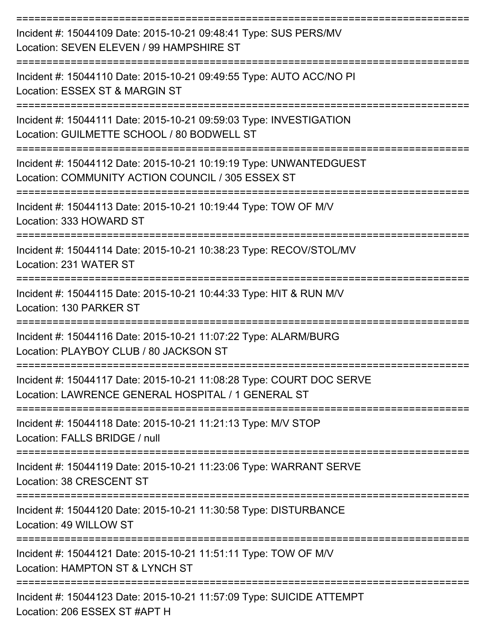| Incident #: 15044109 Date: 2015-10-21 09:48:41 Type: SUS PERS/MV<br>Location: SEVEN ELEVEN / 99 HAMPSHIRE ST               |
|----------------------------------------------------------------------------------------------------------------------------|
| Incident #: 15044110 Date: 2015-10-21 09:49:55 Type: AUTO ACC/NO PI<br>Location: ESSEX ST & MARGIN ST                      |
| Incident #: 15044111 Date: 2015-10-21 09:59:03 Type: INVESTIGATION<br>Location: GUILMETTE SCHOOL / 80 BODWELL ST           |
| Incident #: 15044112 Date: 2015-10-21 10:19:19 Type: UNWANTEDGUEST<br>Location: COMMUNITY ACTION COUNCIL / 305 ESSEX ST    |
| Incident #: 15044113 Date: 2015-10-21 10:19:44 Type: TOW OF M/V<br>Location: 333 HOWARD ST                                 |
| Incident #: 15044114 Date: 2015-10-21 10:38:23 Type: RECOV/STOL/MV<br>Location: 231 WATER ST                               |
| Incident #: 15044115 Date: 2015-10-21 10:44:33 Type: HIT & RUN M/V<br>Location: 130 PARKER ST                              |
| Incident #: 15044116 Date: 2015-10-21 11:07:22 Type: ALARM/BURG<br>Location: PLAYBOY CLUB / 80 JACKSON ST                  |
| Incident #: 15044117 Date: 2015-10-21 11:08:28 Type: COURT DOC SERVE<br>Location: LAWRENCE GENERAL HOSPITAL / 1 GENERAL ST |
| Incident #: 15044118 Date: 2015-10-21 11:21:13 Type: M/V STOP<br>Location: FALLS BRIDGE / null                             |
| Incident #: 15044119 Date: 2015-10-21 11:23:06 Type: WARRANT SERVE<br>Location: 38 CRESCENT ST                             |
| Incident #: 15044120 Date: 2015-10-21 11:30:58 Type: DISTURBANCE<br>Location: 49 WILLOW ST                                 |
| Incident #: 15044121 Date: 2015-10-21 11:51:11 Type: TOW OF M/V<br>Location: HAMPTON ST & LYNCH ST                         |
| Incident #: 15044123 Date: 2015-10-21 11:57:09 Type: SUICIDE ATTEMPT<br>Location: 206 ESSEX ST #APT H                      |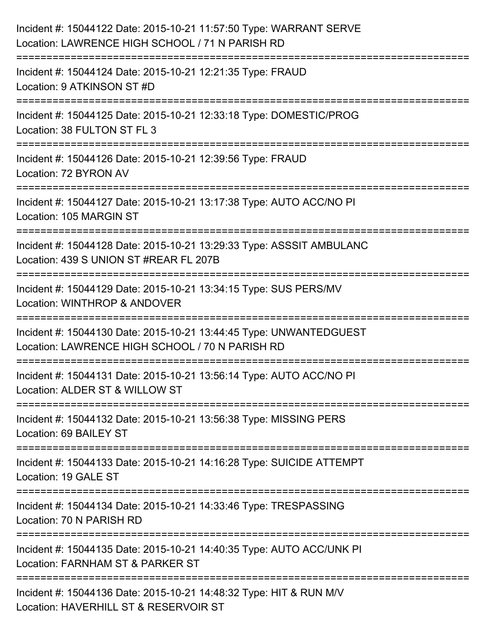| Incident #: 15044122 Date: 2015-10-21 11:57:50 Type: WARRANT SERVE<br>Location: LAWRENCE HIGH SCHOOL / 71 N PARISH RD                                                             |
|-----------------------------------------------------------------------------------------------------------------------------------------------------------------------------------|
| ====================================<br>Incident #: 15044124 Date: 2015-10-21 12:21:35 Type: FRAUD<br>Location: 9 ATKINSON ST #D                                                  |
| Incident #: 15044125 Date: 2015-10-21 12:33:18 Type: DOMESTIC/PROG<br>Location: 38 FULTON ST FL 3<br>;=====================================<br>================================== |
| Incident #: 15044126 Date: 2015-10-21 12:39:56 Type: FRAUD<br>Location: 72 BYRON AV                                                                                               |
| Incident #: 15044127 Date: 2015-10-21 13:17:38 Type: AUTO ACC/NO PI<br>Location: 105 MARGIN ST<br>==============================                                                  |
| Incident #: 15044128 Date: 2015-10-21 13:29:33 Type: ASSSIT AMBULANC<br>Location: 439 S UNION ST #REAR FL 207B                                                                    |
| Incident #: 15044129 Date: 2015-10-21 13:34:15 Type: SUS PERS/MV<br>Location: WINTHROP & ANDOVER                                                                                  |
| Incident #: 15044130 Date: 2015-10-21 13:44:45 Type: UNWANTEDGUEST<br>Location: LAWRENCE HIGH SCHOOL / 70 N PARISH RD                                                             |
| Incident #: 15044131 Date: 2015-10-21 13:56:14 Type: AUTO ACC/NO PI<br>Location: ALDER ST & WILLOW ST                                                                             |
| Incident #: 15044132 Date: 2015-10-21 13:56:38 Type: MISSING PERS<br>Location: 69 BAILEY ST                                                                                       |
| Incident #: 15044133 Date: 2015-10-21 14:16:28 Type: SUICIDE ATTEMPT<br>Location: 19 GALE ST                                                                                      |
| Incident #: 15044134 Date: 2015-10-21 14:33:46 Type: TRESPASSING<br>Location: 70 N PARISH RD                                                                                      |
| Incident #: 15044135 Date: 2015-10-21 14:40:35 Type: AUTO ACC/UNK PI<br>Location: FARNHAM ST & PARKER ST                                                                          |
| Incident #: 15044136 Date: 2015-10-21 14:48:32 Type: HIT & RUN M/V<br>Location: HAVERHILL ST & RESERVOIR ST                                                                       |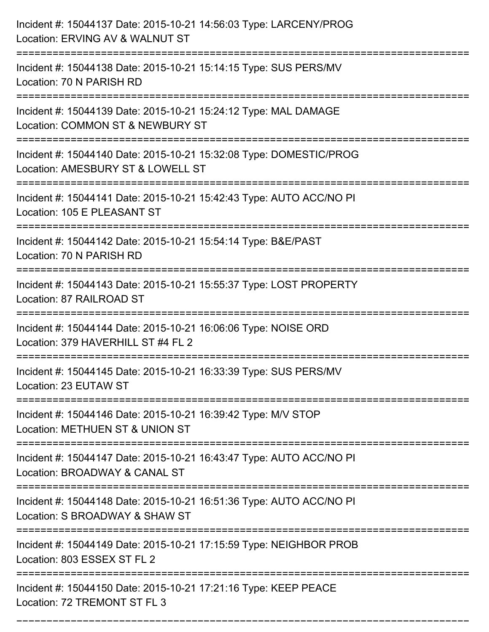| Incident #: 15044137 Date: 2015-10-21 14:56:03 Type: LARCENY/PROG<br>Location: ERVING AV & WALNUT ST                                  |
|---------------------------------------------------------------------------------------------------------------------------------------|
| Incident #: 15044138 Date: 2015-10-21 15:14:15 Type: SUS PERS/MV<br>Location: 70 N PARISH RD                                          |
| Incident #: 15044139 Date: 2015-10-21 15:24:12 Type: MAL DAMAGE<br>Location: COMMON ST & NEWBURY ST<br>============================== |
| Incident #: 15044140 Date: 2015-10-21 15:32:08 Type: DOMESTIC/PROG<br>Location: AMESBURY ST & LOWELL ST                               |
| Incident #: 15044141 Date: 2015-10-21 15:42:43 Type: AUTO ACC/NO PI<br>Location: 105 E PLEASANT ST                                    |
| Incident #: 15044142 Date: 2015-10-21 15:54:14 Type: B&E/PAST<br>Location: 70 N PARISH RD                                             |
| Incident #: 15044143 Date: 2015-10-21 15:55:37 Type: LOST PROPERTY<br>Location: 87 RAILROAD ST                                        |
| Incident #: 15044144 Date: 2015-10-21 16:06:06 Type: NOISE ORD<br>Location: 379 HAVERHILL ST #4 FL 2                                  |
| Incident #: 15044145 Date: 2015-10-21 16:33:39 Type: SUS PERS/MV<br>Location: 23 EUTAW ST                                             |
| Incident #: 15044146 Date: 2015-10-21 16:39:42 Type: M/V STOP<br>Location: METHUEN ST & UNION ST                                      |
| Incident #: 15044147 Date: 2015-10-21 16:43:47 Type: AUTO ACC/NO PI<br>Location: BROADWAY & CANAL ST                                  |
| Incident #: 15044148 Date: 2015-10-21 16:51:36 Type: AUTO ACC/NO PI<br>Location: S BROADWAY & SHAW ST                                 |
| Incident #: 15044149 Date: 2015-10-21 17:15:59 Type: NEIGHBOR PROB<br>Location: 803 ESSEX ST FL 2                                     |
| Incident #: 15044150 Date: 2015-10-21 17:21:16 Type: KEEP PEACE<br>Location: 72 TREMONT ST FL 3                                       |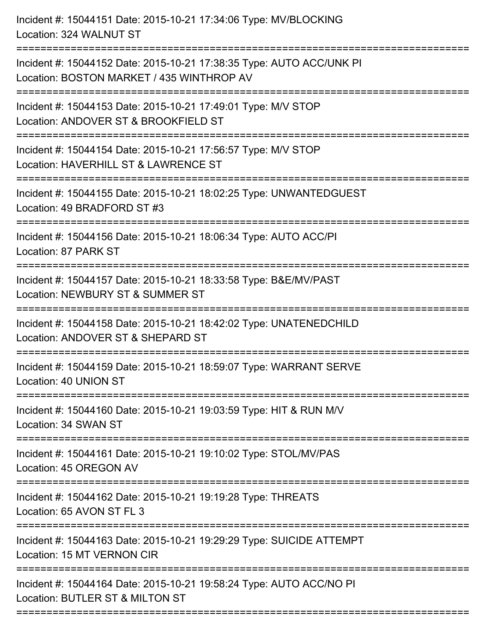Incident #: 15044151 Date: 2015-10-21 17:34:06 Type: MV/BLOCKING Location: 324 WALNUT ST =========================================================================== Incident #: 15044152 Date: 2015-10-21 17:38:35 Type: AUTO ACC/UNK PI Location: BOSTON MARKET / 435 WINTHROP AV =========================================================================== Incident #: 15044153 Date: 2015-10-21 17:49:01 Type: M/V STOP Location: ANDOVER ST & BROOKFIFLD ST =========================================================================== Incident #: 15044154 Date: 2015-10-21 17:56:57 Type: M/V STOP Location: HAVERHILL ST & LAWRENCE ST =========================================================================== Incident #: 15044155 Date: 2015-10-21 18:02:25 Type: UNWANTEDGUEST Location: 49 BRADFORD ST #3 =========================================================================== Incident #: 15044156 Date: 2015-10-21 18:06:34 Type: AUTO ACC/PI Location: 87 PARK ST =========================================================================== Incident #: 15044157 Date: 2015-10-21 18:33:58 Type: B&E/MV/PAST Location: NEWBURY ST & SUMMER ST =========================================================================== Incident #: 15044158 Date: 2015-10-21 18:42:02 Type: UNATENEDCHILD Location: ANDOVER ST & SHEPARD ST =========================================================================== Incident #: 15044159 Date: 2015-10-21 18:59:07 Type: WARRANT SERVE Location: 40 UNION ST =========================================================================== Incident #: 15044160 Date: 2015-10-21 19:03:59 Type: HIT & RUN M/V Location: 34 SWAN ST =========================================================================== Incident #: 15044161 Date: 2015-10-21 19:10:02 Type: STOL/MV/PAS Location: 45 OREGON AV =========================================================================== Incident #: 15044162 Date: 2015-10-21 19:19:28 Type: THREATS Location: 65 AVON ST FL 3 =========================================================================== Incident #: 15044163 Date: 2015-10-21 19:29:29 Type: SUICIDE ATTEMPT Location: 15 MT VERNON CIR =========================================================================== Incident #: 15044164 Date: 2015-10-21 19:58:24 Type: AUTO ACC/NO PI Location: BUTLER ST & MILTON ST ===========================================================================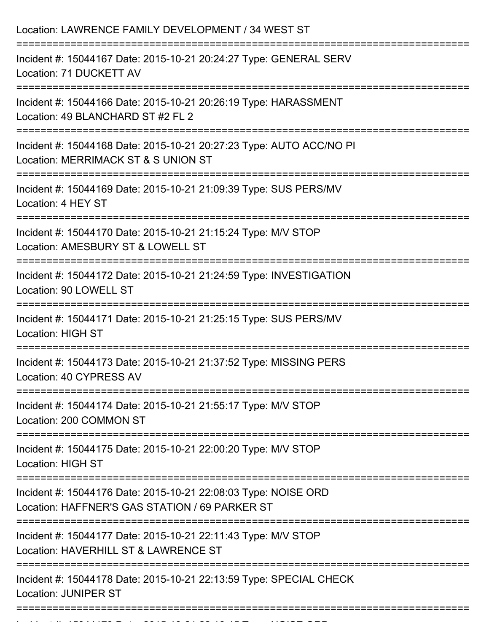| Location: LAWRENCE FAMILY DEVELOPMENT / 34 WEST ST                                                                                                                     |
|------------------------------------------------------------------------------------------------------------------------------------------------------------------------|
| Incident #: 15044167 Date: 2015-10-21 20:24:27 Type: GENERAL SERV<br>Location: 71 DUCKETT AV                                                                           |
| Incident #: 15044166 Date: 2015-10-21 20:26:19 Type: HARASSMENT<br>Location: 49 BLANCHARD ST #2 FL 2                                                                   |
| Incident #: 15044168 Date: 2015-10-21 20:27:23 Type: AUTO ACC/NO PI<br>Location: MERRIMACK ST & S UNION ST                                                             |
| Incident #: 15044169 Date: 2015-10-21 21:09:39 Type: SUS PERS/MV<br>Location: 4 HEY ST                                                                                 |
| Incident #: 15044170 Date: 2015-10-21 21:15:24 Type: M/V STOP<br>Location: AMESBURY ST & LOWELL ST                                                                     |
| Incident #: 15044172 Date: 2015-10-21 21:24:59 Type: INVESTIGATION<br>Location: 90 LOWELL ST                                                                           |
| Incident #: 15044171 Date: 2015-10-21 21:25:15 Type: SUS PERS/MV<br><b>Location: HIGH ST</b>                                                                           |
| Incident #: 15044173 Date: 2015-10-21 21:37:52 Type: MISSING PERS<br>Location: 40 CYPRESS AV                                                                           |
| ==============================<br>Incident #: 15044174 Date: 2015-10-21 21:55:17 Type: M/V STOP<br>Location: 200 COMMON ST                                             |
| Incident #: 15044175 Date: 2015-10-21 22:00:20 Type: M/V STOP<br><b>Location: HIGH ST</b>                                                                              |
| ----------------------------------<br>Incident #: 15044176 Date: 2015-10-21 22:08:03 Type: NOISE ORD<br>Location: HAFFNER'S GAS STATION / 69 PARKER ST                 |
| =========================<br>================================<br>Incident #: 15044177 Date: 2015-10-21 22:11:43 Type: M/V STOP<br>Location: HAVERHILL ST & LAWRENCE ST |
| Incident #: 15044178 Date: 2015-10-21 22:13:59 Type: SPECIAL CHECK<br><b>Location: JUNIPER ST</b>                                                                      |
|                                                                                                                                                                        |

Incident #: 15044179 Date: 2015 10 21 22:16:16:15 Date: NOISE ORD<br>.